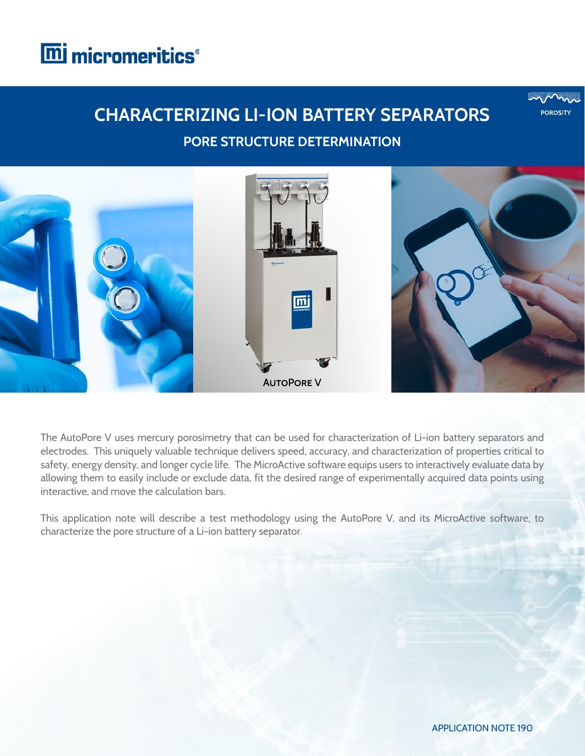



The AutoPore V uses mercury porosimetry that can be used for characterization of Li-ion battery separators and electrodes. This uniquely valuable technique delivers speed, accuracy, and characterization of properties critical to safety, energy density, and longer cycle life. The MicroActive software equips users to interactively evaluate data by allowing them to easily include or exclude data, fit the desired range of experimentally acquired data points using interactive, and move the calculation bars.

This application note will describe a test methodology using the AutoPore V, and its MicroActive software, to characterize the pore structure of a Li-ion battery separator.

**POROSITY**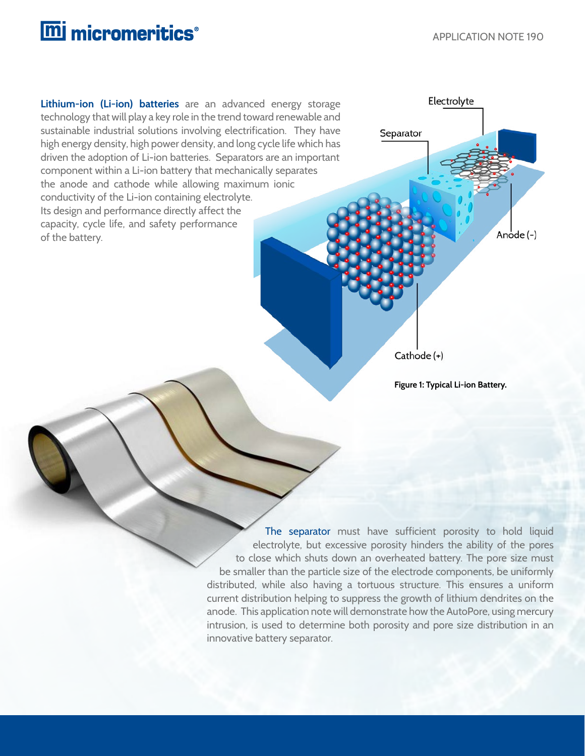**Lithium-ion (Li-ion) batteries** are an advanced energy storage technology that will play a key role in the trend toward renewable and sustainable industrial solutions involving electrification. They have high energy density, high power density, and long cycle life which has driven the adoption of Li-ion batteries. Separators are an important component within a Li-ion battery that mechanically separates the anode and cathode while allowing maximum ionic conductivity of the Li-ion containing electrolyte. Its design and performance directly affect the capacity, cycle life, and safety performance of the battery.



**Figure 1: Typical Li-ion Battery.**

The separator must have sufficient porosity to hold liquid electrolyte, but excessive porosity hinders the ability of the pores to close which shuts down an overheated battery. The pore size must be smaller than the particle size of the electrode components, be uniformly distributed, while also having a tortuous structure. This ensures a uniform current distribution helping to suppress the growth of lithium dendrites on the anode. This application note will demonstrate how the AutoPore, using mercury intrusion, is used to determine both porosity and pore size distribution in an innovative battery separator.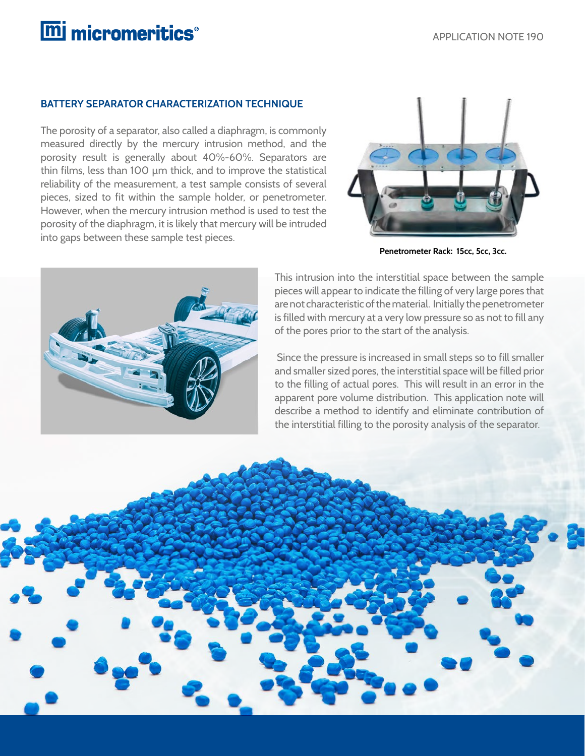#### **BATTERY SEPARATOR CHARACTERIZATION TECHNIQUE**

The porosity of a separator, also called a diaphragm, is commonly measured directly by the mercury intrusion method, and the porosity result is generally about 40%-60%. Separators are thin films, less than 100 µm thick, and to improve the statistical reliability of the measurement, a test sample consists of several pieces, sized to fit within the sample holder, or penetrometer. However, when the mercury intrusion method is used to test the porosity of the diaphragm, it is likely that mercury will be intruded into gaps between these sample test pieces.



**Penetrometer Rack: 15cc, 5cc, 3cc.**



This intrusion into the interstitial space between the sample pieces will appear to indicate the filling of very large pores that are not characteristic of the material. Initially the penetrometer is filled with mercury at a very low pressure so as not to fill any of the pores prior to the start of the analysis.

 Since the pressure is increased in small steps so to fill smaller and smaller sized pores, the interstitial space will be filled prior to the filling of actual pores. This will result in an error in the apparent pore volume distribution. This application note will describe a method to identify and eliminate contribution of the interstitial filling to the porosity analysis of the separator.

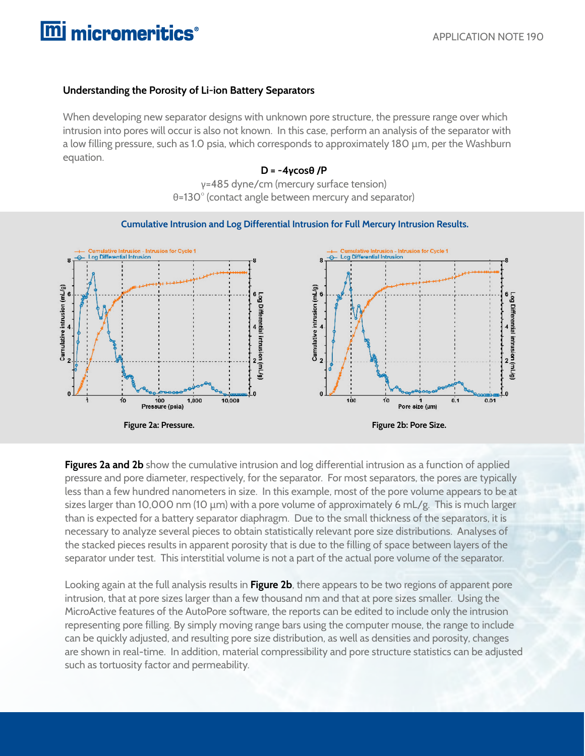### **Understanding the Porosity of Li-ion Battery Separators**

When developing new separator designs with unknown pore structure, the pressure range over which intrusion into pores will occur is also not known. In this case, perform an analysis of the separator with a low filling pressure, such as 1.0 psia, which corresponds to approximately 180 µm, per the Washburn equation.

#### **D = -4γcosθ /P**

γ=485 dyne/cm (mercury surface tension) θ=130° (contact angle between mercury and separator)



 **Cumulative Intrusion and Log Differential Intrusion for Full Mercury Intrusion Results.**

**Figures 2a and 2b** show the cumulative intrusion and log differential intrusion as a function of applied pressure and pore diameter, respectively, for the separator. For most separators, the pores are typically less than a few hundred nanometers in size. In this example, most of the pore volume appears to be at sizes larger than 10,000 nm (10  $\mu$ m) with a pore volume of approximately 6 mL/g. This is much larger than is expected for a battery separator diaphragm. Due to the small thickness of the separators, it is necessary to analyze several pieces to obtain statistically relevant pore size distributions. Analyses of the stacked pieces results in apparent porosity that is due to the filling of space between layers of the separator under test. This interstitial volume is not a part of the actual pore volume of the separator.

Looking again at the full analysis results in **Figure 2b**, there appears to be two regions of apparent pore intrusion, that at pore sizes larger than a few thousand nm and that at pore sizes smaller. Using the MicroActive features of the AutoPore software, the reports can be edited to include only the intrusion representing pore filling. By simply moving range bars using the computer mouse, the range to include can be quickly adjusted, and resulting pore size distribution, as well as densities and porosity, changes are shown in real-time. In addition, material compressibility and pore structure statistics can be adjusted such as tortuosity factor and permeability.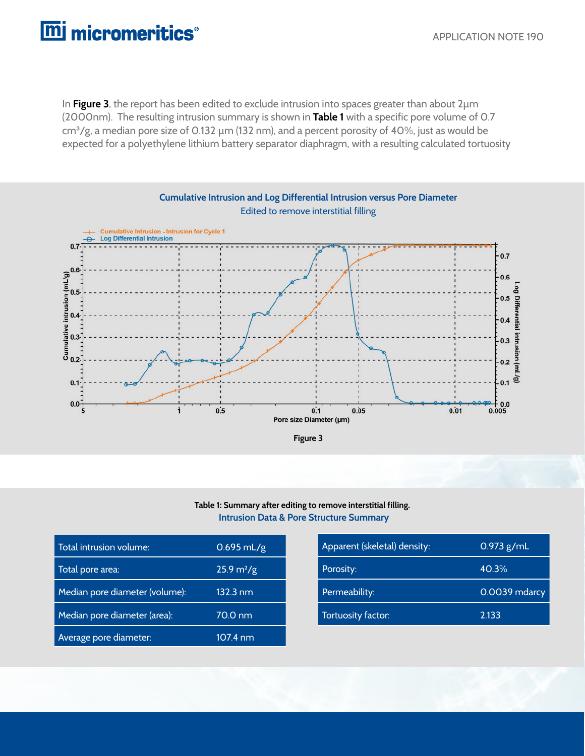In **Figure 3**, the report has been edited to exclude intrusion into spaces greater than about 2µm (2000nm). The resulting intrusion summary is shown in **Table 1** with a specific pore volume of 0.7 cm<sup>3</sup>/g, a median pore size of 0.132 µm (132 nm), and a percent porosity of 40%, just as would be expected for a polyethylene lithium battery separator diaphragm, with a resulting calculated tortuosity



#### **Intrusion Data & Pore Structure Summary Table 1: Summary after editing to remove interstitial filling.**

| Total intrusion volume:        | $0.695$ mL/g                | Apparent (skeletal) density: | $0.973$ g/mL  |
|--------------------------------|-----------------------------|------------------------------|---------------|
| Total pore area:               | $25.9 \text{ m}^2/\text{g}$ | Porosity:                    | 40.3%         |
| Median pore diameter (volume): | $132.3 \text{ nm}$          | Permeability:                | 0.0039 mdarcy |
| Median pore diameter (area):   | 70.0 nm                     | Tortuosity factor:           | 2.133         |
| Average pore diameter:         | 107.4 nm                    |                              |               |